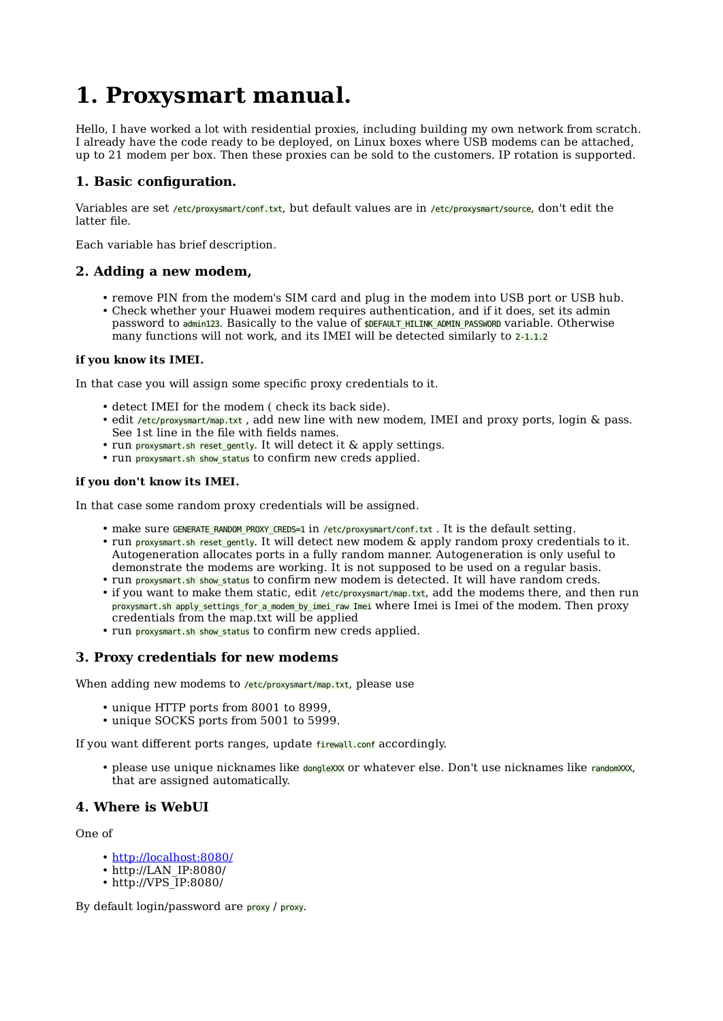# **1. Proxysmart manual.**

Hello, I have worked a lot with residential proxies, including building my own network from scratch. I already have the code ready to be deployed, on Linux boxes where USB modems can be attached, up to 21 modem per box. Then these proxies can be sold to the customers. IP rotation is supported.

## **1. Basic configuration.**

Variables are set /etc/proxysmart/conf.txt, but default values are in /etc/proxysmart/source, don't edit the latter file.

Each variable has brief description.

## **2. Adding a new modem,**

- remove PIN from the modem's SIM card and plug in the modem into USB port or USB hub.
- Check whether your Huawei modem requires authentication, and if it does, set its admin password to admin123. Basically to the value of **\$DEFAULT\_HILINK\_ADMIN\_PASSWORD** variable. Otherwise many functions will not work, and its IMEI will be detected similarly to 2-1.1.2

## **if you know its IMEI.**

In that case you will assign some specific proxy credentials to it.

- detect IMEI for the modem (check its back side).
- edit /etc/proxysmart/map.txt, add new line with new modem, IMEI and proxy ports, login & pass. See 1st line in the file with fields names.
- run proxysmart.sh reset\_gently. It will detect it & apply settings.
- run proxysmart.sh show\_status to confirm new creds applied.

#### **if you don't know its IMEI.**

In that case some random proxy credentials will be assigned.

- make sure GENERATE\_RANDOM\_PROXY\_CREDS=1 in /etc/proxysmart/conf.txt . It is the default setting.
- run proxysmart.sh reset\_gently. It will detect new modem & apply random proxy credentials to it. Autogeneration allocates ports in a fully random manner. Autogeneration is only useful to demonstrate the modems are working. It is not supposed to be used on a regular basis.
- run proxysmart.sh show\_status to confirm new modem is detected. It will have random creds.
- if you want to make them static, edit /etc/proxysmart/map.txt, add the modems there, and then run proxysmart.sh apply settings for a modem by imei raw Imei where Imei is Imei of the modem. Then proxy credentials from the map.txt will be applied
- run proxysmart.sh show\_status to confirm new creds applied.

## **3. Proxy credentials for new modems**

When adding new modems to /etc/proxysmart/map.txt, please use

- unique HTTP ports from 8001 to 8999,
- unique SOCKS ports from 5001 to 5999. •

If you want different ports ranges, update *firewall.conf* accordingly.

• please use unique nicknames like dongleXXX or whatever else. Don't use nicknames like randomXXX, that are assigned automatically.

## **4. Where is WebUI**

One of

- <u><http://localhost:8080/></u>
- http://LAN IP:8080/
- http://VPS IP:8080/

By default login/password are proxy / proxy.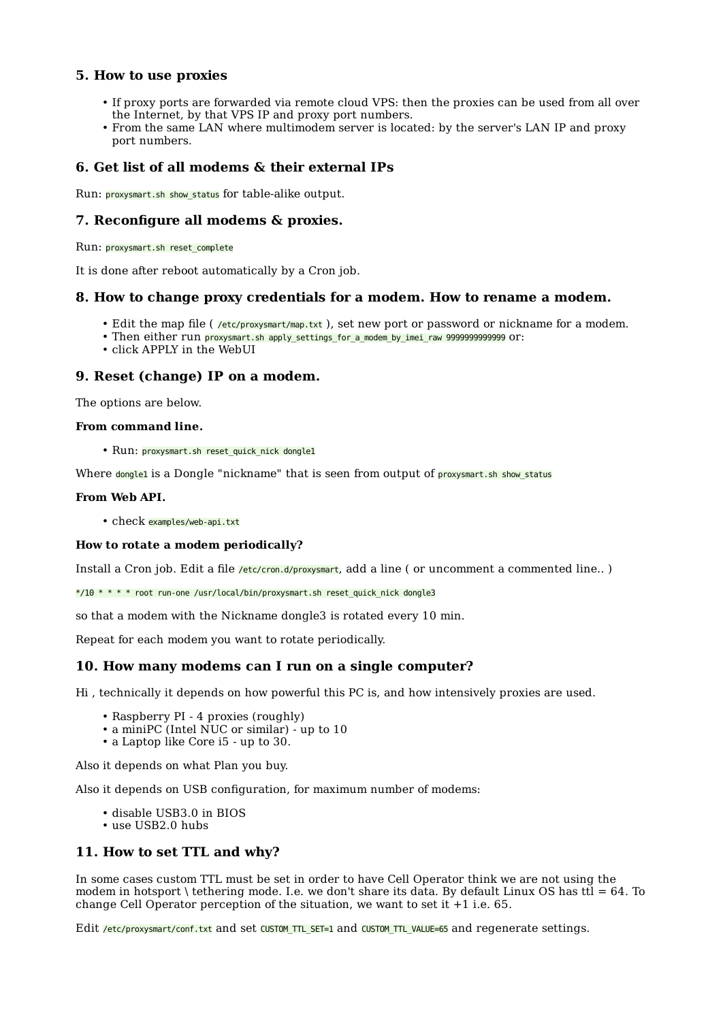### **5. How to use proxies**

- If proxy ports are forwarded via remote cloud VPS: then the proxies can be used from all over the Internet, by that VPS IP and proxy port numbers.
- From the same LAN where multimodem server is located: by the server's LAN IP and proxy port numbers.

## **6. Get list of all modems & their external IPs**

Run: proxysmart.sh show status for table-alike output.

#### **7. Reconfigure all modems & proxies.**

Run: proxysmart.sh reset\_complete

It is done after reboot automatically by a Cron job.

#### **8. How to change proxy credentials for a modem. How to rename a modem.**

- Edit the map file ( /etc/proxysmart/map.txt ), set new port or password or nickname for a modem.
- Then either run proxysmart.sh apply\_settings\_for\_a\_modem\_by\_imei\_raw 9999999999999 or:
- click APPLY in the WebUI

#### **9. Reset (change) IP on a modem.**

The options are below.

#### **From command line.**

• Run: proxysmart.sh reset\_quick\_nick dongle1

Where dongle1 is a Dongle "nickname" that is seen from output of proxysmart.sh show status

#### **From Web API.**

• check examples/web-api.txt

#### **How to rotate a modem periodically?**

Install a Cron job. Edit a file /etc/cron.d/proxysmart, add a line (or uncomment a commented line..)

\*/10 \* \* \* \* root run-one /usr/local/bin/proxysmart.sh reset\_quick\_nick dongle3

so that a modem with the Nickname dongle3 is rotated every 10 min.

Repeat for each modem you want to rotate periodically.

#### **10. How many modems can I run on a single computer?**

Hi , technically it depends on how powerful this PC is, and how intensively proxies are used.

- Raspberry PI 4 proxies (roughly)
- a miniPC (Intel NUC or similar) up to 10
- a Laptop like Core i5 up to 30.

Also it depends on what Plan you buy.

Also it depends on USB configuration, for maximum number of modems:

- disable USB3.0 in BIOS
- use USB2.0 hubs •

#### **11. How to set TTL and why?**

In some cases custom TTL must be set in order to have Cell Operator think we are not using the modem in hotsport \ tethering mode. I.e. we don't share its data. By default Linux OS has ttl  $= 64$ . To change Cell Operator perception of the situation, we want to set it +1 i.e. 65.

Edit /etc/proxysmart/conf.txt and set CUSTOM\_TTL\_SET=1 and CUSTOM\_TTL\_VALUE=65 and regenerate settings.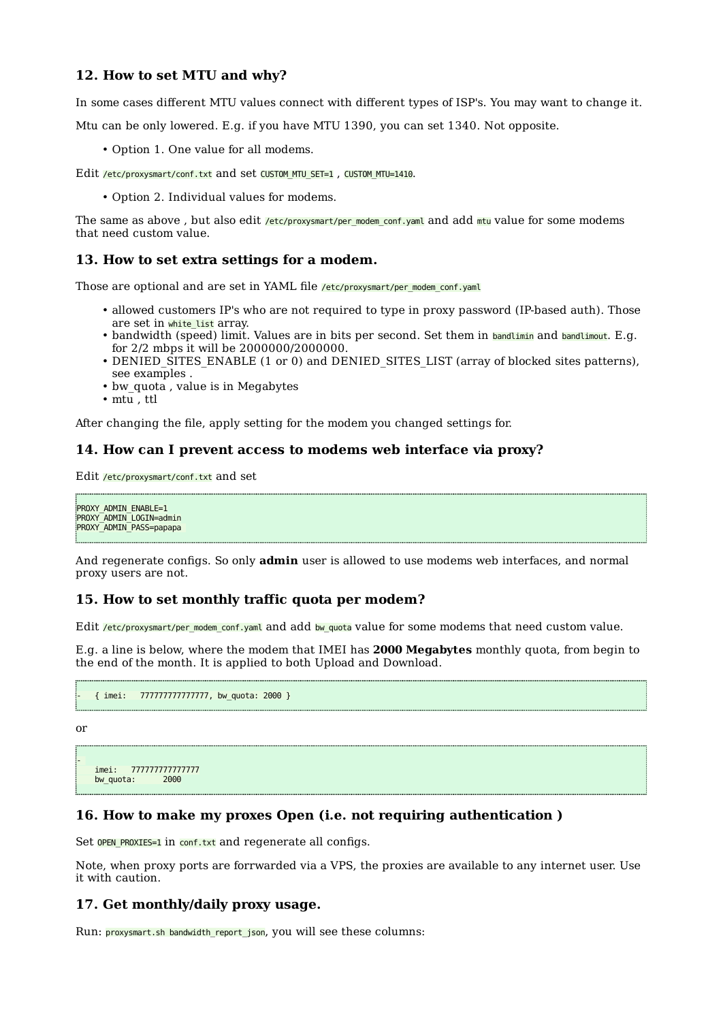#### **12. How to set MTU and why?**

In some cases different MTU values connect with different types of ISP's. You may want to change it.

Mtu can be only lowered. E.g. if you have MTU 1390, you can set 1340. Not opposite.

• Option 1. One value for all modems.

Edit /etc/proxysmart/conf.txt and set CUSTOM\_MTU\_SET=1, CUSTOM\_MTU=1410.

• Option 2. Individual values for modems.

The same as above, but also edit /etc/proxysmart/per\_modem\_conf.yaml and add mtu value for some modems that need custom value.

#### **13. How to set extra settings for a modem.**

Those are optional and are set in YAML file /etc/proxysmart/per\_modem\_conf.yaml

- allowed customers IP's who are not required to type in proxy password (IP-based auth). Those are set in white list array.
- bandwidth (speed) limit. Values are in bits per second. Set them in bandlimin and bandlimout. E.g. for 2/2 mbps it will be 2000000/2000000.
- DENIED SITES ENABLE (1 or 0) and DENIED SITES LIST (array of blocked sites patterns), see examples .
- bw quota, value is in Megabytes
- mtu , ttl

After changing the file, apply setting for the modem you changed settings for.

#### **14. How can I prevent access to modems web interface via proxy?**

Edit /etc/proxysmart/conf.txt and set

PROXY\_ADMIN\_ENABLE=1 PROXY\_ADMIN\_LOGIN=admin PROXY\_ADMIN\_PASS=papapa

And regenerate configs. So only **admin** user is allowed to use modems web interfaces, and normal proxy users are not.

#### **15. How to set monthly traffic quota per modem?**

Edit /etc/proxysmart/per\_modem\_conf.yaml and add bw\_quota value for some modems that need custom value.

E.g. a line is below, where the modem that IMEI has **2000 Megabytes** monthly quota, from begin to the end of the month. It is applied to both Upload and Download.

```
- { imei: 777777777777777, bw_quota: 2000 }
```
or

-

```
imei: 7777777777777777777<br>bw quota: 2000
bw_quota:
```
#### **16. How to make my proxes Open (i.e. not requiring authentication )**

Set OPEN PROXIES=1 in conf.txt and regenerate all configs.

Note, when proxy ports are forrwarded via a VPS, the proxies are available to any internet user. Use it with caution.

#### **17. Get monthly/daily proxy usage.**

Run: proxysmart.sh bandwidth\_report\_json, you will see these columns: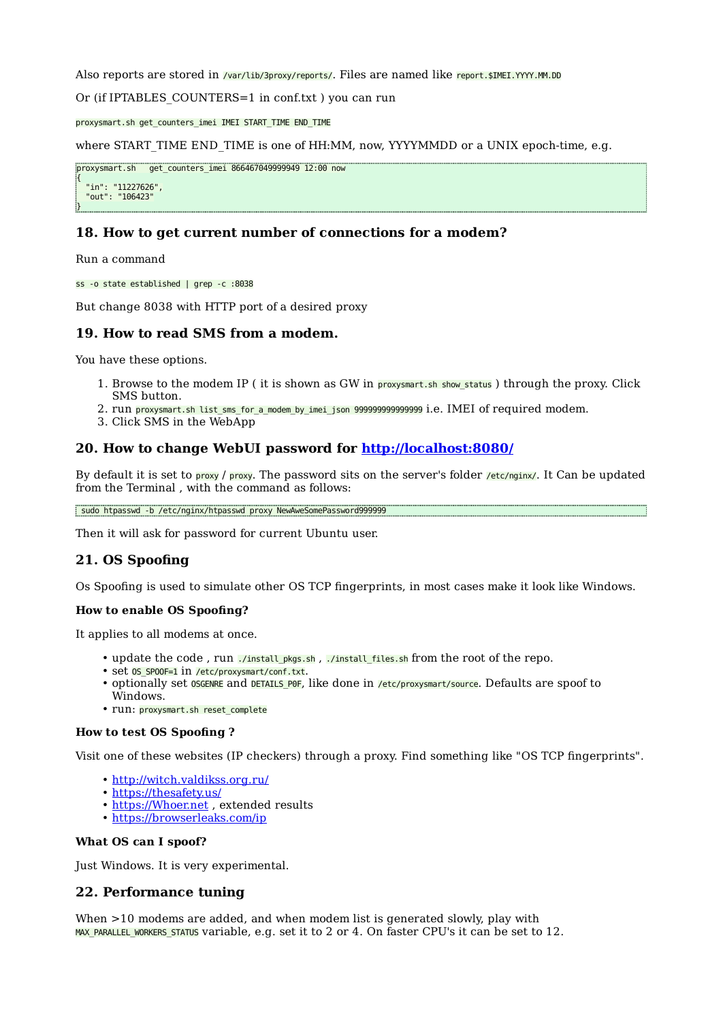Also reports are stored in /var/lib/3proxy/reports/. Files are named like report.\$IMEI.YYYY.MM.DD

Or (if IPTABLES COUNTERS=1 in conf.txt ) you can run

proxysmart.sh get\_counters\_imei IMEI START\_TIME END\_TIME

where START TIME END TIME is one of HH:MM, now, YYYYMMDD or a UNIX epoch-time, e.g.

proxysmart.sh get\_counters\_imei 866467049999949 12:00 now { "in": "11227626", "out": "106423" }

## **18. How to get current number of connections for a modem?**

Run a command

ss -o state established | grep -c :8038

But change 8038 with HTTP port of a desired proxy

#### **19. How to read SMS from a modem.**

You have these options.

- 1. Browse to the modem IP (it is shown as GW in proxysmart.sh show\_status) through the proxy. Click SMS button.
- 2. run proxysmart.sh list\_sms\_for\_a\_modem\_by\_imei\_json 999999999999999 i.e. IMEI of required modem.
- 3. Click SMS in the WebApp

#### **20. How to change WebUI password for <http://localhost:8080/>**

By default it is set to proxy / proxy. The password sits on the server's folder /etc/nginx/. It Can be updated from the Terminal , with the command as follows:

sudo htpasswd -b /etc/nginx/htpasswd proxy NewAweSomePassword999999

Then it will ask for password for current Ubuntu user.

#### **21. OS Spoofing**

Os Spoofing is used to simulate other OS TCP fingerprints, in most cases make it look like Windows.

#### **How to enable OS Spoofing?**

It applies to all modems at once.

- update the code, run./install\_pkgs.sh, ./install\_files.sh from the root of the repo.
- Set OS\_SPOOF=1 in /etc/proxysmart/conf.txt.
- optionally set OSGENRE and DETAILS\_POF, like done in /etc/proxysmart/source. Defaults are spoof to Windows.
- run: proxysmart.sh reset\_complete

#### **How to test OS Spoofing ?**

Visit one of these websites (IP checkers) through a proxy. Find something like "OS TCP fingerprints".

- <http://witch.valdikss.org.ru/>
- <https://thesafety.us/>
- https://Whoer.net, extended results
- <https://browserleaks.com/ip>

#### **What OS can I spoof?**

Just Windows. It is very experimental.

#### **22. Performance tuning**

When  $>10$  modems are added, and when modem list is generated slowly, play with MAX\_PARALLEL\_WORKERS\_STATUS variable, e.g. set it to 2 or 4. On faster CPU's it can be set to 12.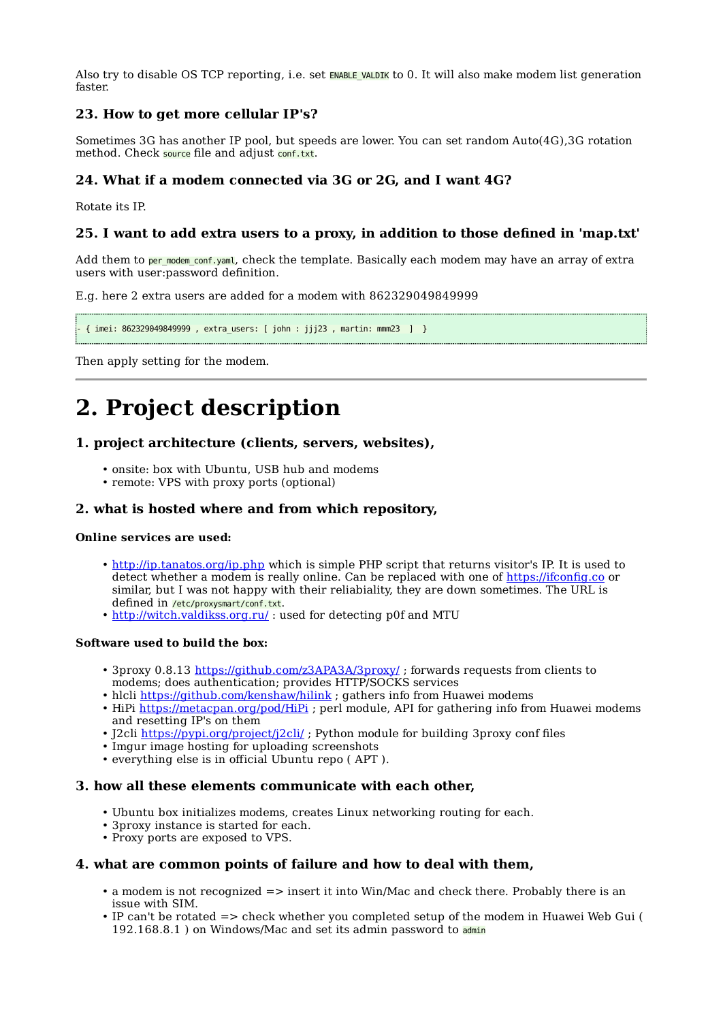Also try to disable OS TCP reporting, i.e. set ENABLE VALDIK to 0. It will also make modem list generation faster.

## **23. How to get more cellular IP's?**

Sometimes 3G has another IP pool, but speeds are lower. You can set random Auto(4G),3G rotation method. Check source file and adjust conf.txt.

## **24. What if a modem connected via 3G or 2G, and I want 4G?**

Rotate its IP.

## **25. I want to add extra users to a proxy, in addition to those defined in 'map.txt'**

Add them to per\_modem\_conf.yaml, check the template. Basically each modem may have an array of extra users with user:password definition.

E.g. here 2 extra users are added for a modem with 862329049849999

- { imei: 862329049849999 , extra\_users: [ john : jjj23 , martin: mmm23 ] }

Then apply setting for the modem.

# **2. Project description**

#### **1. project architecture (clients, servers, websites),**

- onsite: box with Ubuntu, USB hub and modems
- remote: VPS with proxy ports (optional)

#### **2. what is hosted where and from which repository,**

#### **Online services are used:**

- <http://ip.tanatos.org/ip.php> which is simple PHP script that returns visitor's IP. It is used to detect whether a modem is really online. Can be replaced with one of [https://ifcon](https://ifconfig.co)fig.co or similar, but I was not happy with their reliabiality, they are down sometimes. The URL is defined in /etc/proxysmart/conf.txt.
- <http://witch.valdikss.org.ru/>: used for detecting p0f and MTU

#### **Software used to build the box:**

- 3proxy 0.8.13<https://github.com/z3APA3A/3proxy/>; forwards requests from clients to modems; does authentication; provides HTTP/SOCKS services
- hlcli <https://github.com/kenshaw/hilink>; gathers info from Huawei modems
- HiPi <https://metacpan.org/pod/HiPi>; perl module, API for gathering info from Huawei modems and resetting IP's on them
- J2cli <u>https://pypi.org/project/j2cli/</u> ; Python module for building 3proxy conf files
- Imgur image hosting for uploading screenshots
- everything else is in official Ubuntu repo (APT).

#### **3. how all these elements communicate with each other,**

- Ubuntu box initializes modems, creates Linux networking routing for each.
- 3proxy instance is started for each. •
- Proxy ports are exposed to VPS.

#### **4. what are common points of failure and how to deal with them,**

- a modem is not recognized => insert it into Win/Mac and check there. Probably there is an issue with SIM.
- IP can't be rotated => check whether you completed setup of the modem in Huawei Web Gui ( 192.168.8.1 ) on Windows/Mac and set its admin password to admin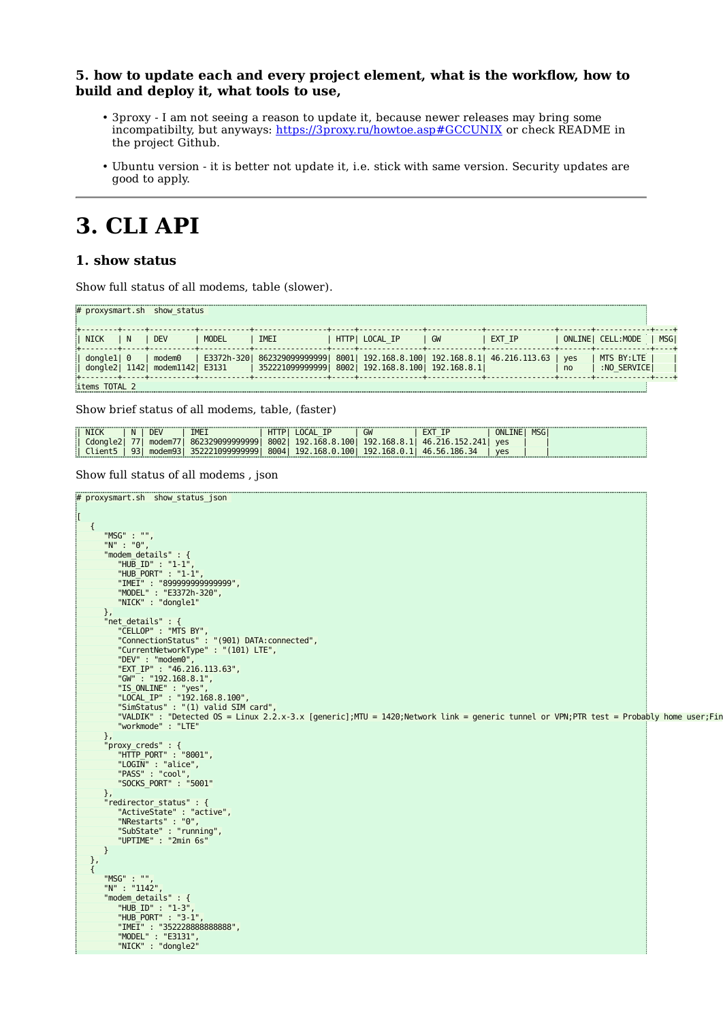#### **5. how to update each and every project element, what is the workflow, how to build and deploy it, what tools to use,**

- 3proxy I am not seeing a reason to update it, because newer releases may bring some incompatibilty, but anyways: <https://3proxy.ru/howtoe.asp#GCCUNIX> or check README in the project Github.
- Ubuntu version it is better not update it, i.e. stick with same version. Security updates are good to apply.

## **3. CLI API**

## **1. show status**

Show full status of all modems, table (slower).

| # proxysmart.sh |       | show status       |              |                                |              |                             |    |               |     |                   |             |
|-----------------|-------|-------------------|--------------|--------------------------------|--------------|-----------------------------|----|---------------|-----|-------------------|-------------|
|                 |       |                   |              |                                |              |                             |    |               |     |                   |             |
| NICK            | N     | <b>DEV</b>        | <b>MODEL</b> | IMEI                           | <b>HTTPI</b> | LOCAL IP                    | GW | EXT IP        |     | ONLINE  CELL:MODE | <b>MSG1</b> |
|                 |       |                   |              |                                |              |                             |    |               |     |                   |             |
| dongle1  0      |       | modem0            | E3372h-320   | 8623290999999991               | 80011        | 192.168.8.100   192.168.8.1 |    | 46.216.113.63 | ves | MTS BY:LTE        |             |
| dongle2         | 11421 | modem1142   E3131 |              | $\frac{1}{2}$ 3522210999999991 | 80021        | 192.168.8.100   192.168.8.1 |    |               | no  | :NO SERVICEI      |             |
|                 |       |                   |              |                                |              |                             |    |               |     |                   |             |
| items TOTAL 2   |       |                   |              |                                |              |                             |    |               |     |                   |             |

Show brief status of all modems, table, (faster)

|   | <b>NICK</b> | -N | <b>DE</b>                          | IMEI                 | н     | $\overline{\phantom{a}}$   | GW                                     |                                                                 | ONLINE   | <b>MSG</b> |   |
|---|-------------|----|------------------------------------|----------------------|-------|----------------------------|----------------------------------------|-----------------------------------------------------------------|----------|------------|---|
|   | dona        |    | $\cdot$ modem/ $\prime$            | 329099999999<br>8623 | 80021 | 192<br>168.<br>1001        | 192<br>168 X                           | 46<br>241<br>$71h$ 1                                            | yes      |            |   |
| . | lient<br>.  | a- | $.$ modem $9^{\circ}$<br>--------- | 1099999999           | 80041 | 168.0<br>1001<br>192.<br>. | 192<br>168.0.<br>---------<br>-------- | 186<br>34<br><b>56</b><br>4 <sup>h</sup><br>---------<br>.<br>. | ves<br>. | ---------  | . |

```
Show full status of all modems , json
```

```
# proxysmart.sh show status json
\overline{[} {
 "MSG" : "",
 "N" : "0",
"modem_details" : {<br>"HUB_ID" : "1-1",<br>"HUB_PORT" : "1-1",<br>"IMET" : "89999999999999",<br>"MODEL" : "E3372h-320",<br>"NICK" : "dongle1"
 },
 "net_details" : {
 "CELLOP" : "MTS BY",
 "ConnectionStatus" : "(901) DATA:connected",
 "CurrentNetworkType" : "(101) LTE",
 "DEV" : "modem0",
 "EXT_IP" : "46.216.113.63",
 "GW" : "192.168.8.1",
 "IS_ONLINE" : "yes",
 "LOCAL_IP" : "192.168.8.100",
"SimStatus" : "(1) valid SIM card",<br>"VALDIK" : "Detected OS = Linux 2.2.x-3.x [generic];MTU = 1420;Network link = generic tunnel or VPN;PTR test = Probably home user;Fin<br>"workmode" : "LTE"
             },
 "proxy_creds" : {
 "HTTP_PORT" : "8001",
 "LOGIN" : "alice",
 "PASS" : "cool",
 "SOCKS_PORT" : "5001"
             },
"redirector_status" : {<br>"ActiveState" : "active",<br>"NRestarts" : "0",<br>"SubState" : "running",<br>"UPTIME" : "2min 6s"
            }
      },
      {
 "MSG" : "",
 "N" : "1142",
"modem_details" : {<br>"HUB_ID" : "1-3",<br>"HUB_PORT" : "3-1",<br>"IMET" : "35222888888888",<br>"MODEL" : "E3131",<br>"NICK" : "dongle2"
```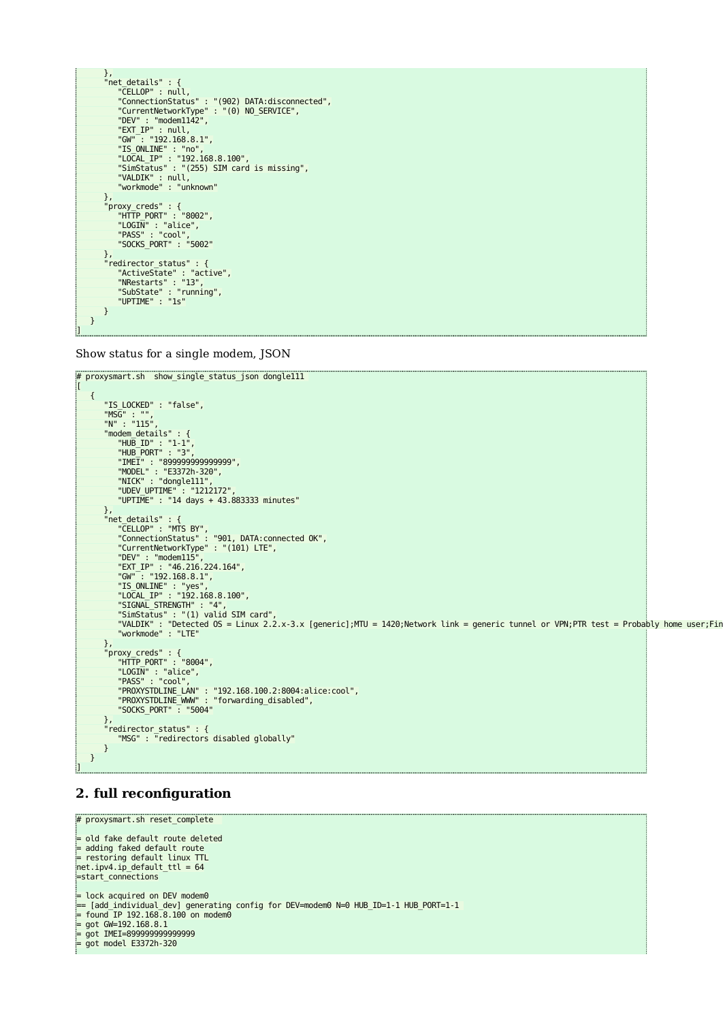

Show status for a single modem, JSON

```
# proxysmart.sh show_single_status_json dongle111 
\blacksquare {
             "IS_LOCKED" : "false",
 "MSG" : "",
 "N" : "115",
"modem_details" : {<br>"HUB_ID" : "1-1",<br>"HUB_PORT" : "3",<br>"IMET" : "899999999999999",<br>"MODEL" : "E3372h-320",<br>"NICK" : "dongle111",<br>"UDEV_UPTIME" : "1212172",
                   "UPTIME" : "14 days + 43.883333 minutes"
 },
 "net_details" : {
 "CELLOP" : "MTS BY",
 "ConnectionStatus" : "901, DATA:connected OK",
 "CurrentNetworkType" : "(101) LTE",
 "DEV" : "modem115",
 "EXT_IP" : "46.216.224.164",
 "GW" : "192.168.8.1",
 "IS_ONLINE" : "yes",
 "LOCAL_IP" : "192.168.8.100",
"SIGNAL_STRENGTH" : "4",<br>"SimStatus" : "(1) valid SIM card",<br>"VALDIK" : "Detected OS = Linux 2.2.x-3.x [generic];MTU = 1420;Network link = generic tunnel or VPN;PTR test = Probably home user;Fin<br>"Warkmode" : "LTE"
},<br>"proxy_creds" : {<br>"HTTP_PORT" : "8004",<br>"LOGIN" : "alice",<br>"PASS" : "cool",<br>"PROXYSTDLINE_LAN" : "192.168.100.2:8004:alice:cool",<br>"PROXYSTDLINE_WWW" : "forwarding_disabled",<br>"SOCKS_PORT" : "5004"
 "redirector_status" : {
 "MSG" : "redirectors disabled globally"
             }
      }
\overline{\mathbf{1}}
```
## **2. full reconfiguration**

```
# proxysmart.sh reset_complete 
= old fake default route deleted
= adding faked default route
= restoring default linux TTL
net.py4.jp_default_ttl = 64=start_connections
= lock acquired on DEV modem0
== [add_individual_dev] generating config for DEV=modem0 N=0 HUB_ID=1-1 HUB_PORT=1-1 
= found IP 192.168.8.100 on modem0
= got GW=192.168.8.1
= got IMEI=899999999999999
= got model E3372h-320
```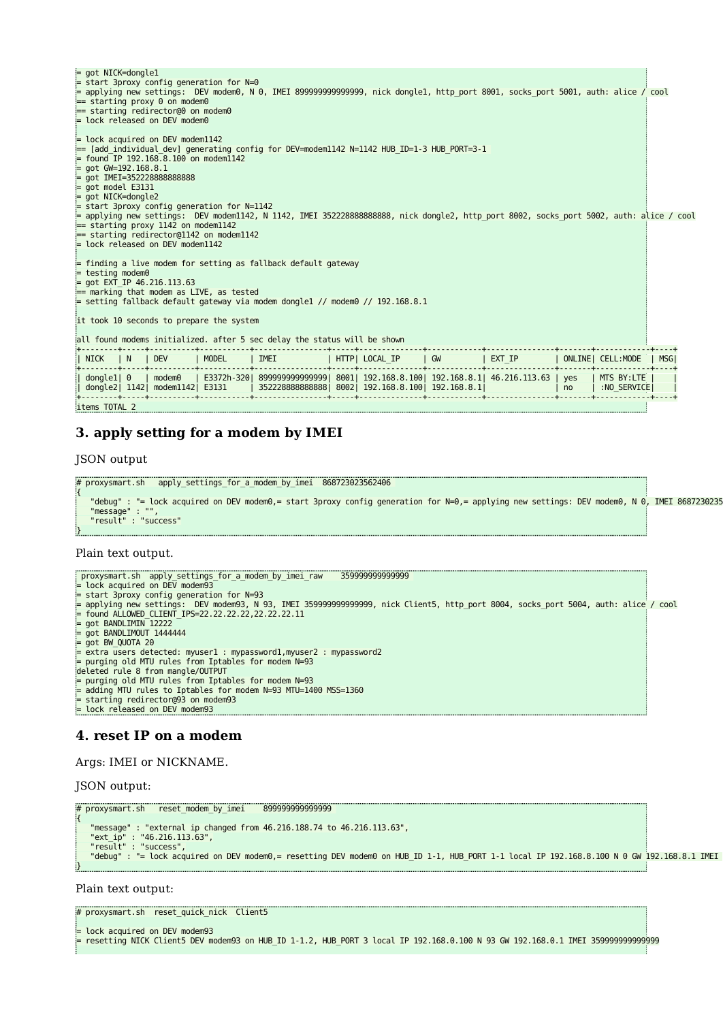| $=$ lock acquired on DEV modem1142<br>=== [add individual dev] generating config for DEV=modem1142 N=1142 HUB ID=1-3 HUB PORT=3-1: <br>$=$ found IP 192.168.8.100 on modem1142<br>$=$ got GW=192.168.8.1<br>$=$ qot IMEI=352228888888888<br>$=$ aot model E3131<br>= got NICK=dongle2<br>$=$ start 3proxy config generation for N=1142<br>= applying new settings: DEV modem1142, N 1142, IMEI 352228888888888, nick dongle2, http port 8002, socks port 5002, auth: alice / cool<br>$=$ starting proxy 1142 on modem1142<br>== starting redirector@1142 on modem1142<br>= lock released on DEV modem1142<br>$=$ finding a live modem for setting as fallback default gateway<br>$=$ testing modem0<br>$=$ got EXT IP 46.216.113.63 |  |  |  |  |  |  |
|-------------------------------------------------------------------------------------------------------------------------------------------------------------------------------------------------------------------------------------------------------------------------------------------------------------------------------------------------------------------------------------------------------------------------------------------------------------------------------------------------------------------------------------------------------------------------------------------------------------------------------------------------------------------------------------------------------------------------------------|--|--|--|--|--|--|
|                                                                                                                                                                                                                                                                                                                                                                                                                                                                                                                                                                                                                                                                                                                                     |  |  |  |  |  |  |
|                                                                                                                                                                                                                                                                                                                                                                                                                                                                                                                                                                                                                                                                                                                                     |  |  |  |  |  |  |
|                                                                                                                                                                                                                                                                                                                                                                                                                                                                                                                                                                                                                                                                                                                                     |  |  |  |  |  |  |
|                                                                                                                                                                                                                                                                                                                                                                                                                                                                                                                                                                                                                                                                                                                                     |  |  |  |  |  |  |
|                                                                                                                                                                                                                                                                                                                                                                                                                                                                                                                                                                                                                                                                                                                                     |  |  |  |  |  |  |
|                                                                                                                                                                                                                                                                                                                                                                                                                                                                                                                                                                                                                                                                                                                                     |  |  |  |  |  |  |
|                                                                                                                                                                                                                                                                                                                                                                                                                                                                                                                                                                                                                                                                                                                                     |  |  |  |  |  |  |
|                                                                                                                                                                                                                                                                                                                                                                                                                                                                                                                                                                                                                                                                                                                                     |  |  |  |  |  |  |
|                                                                                                                                                                                                                                                                                                                                                                                                                                                                                                                                                                                                                                                                                                                                     |  |  |  |  |  |  |
| $\equiv$ marking that modem as LIVE, as tested                                                                                                                                                                                                                                                                                                                                                                                                                                                                                                                                                                                                                                                                                      |  |  |  |  |  |  |
| $=$ setting fallback default gateway via modem dongle1 // modem0 // 192.168.8.1                                                                                                                                                                                                                                                                                                                                                                                                                                                                                                                                                                                                                                                     |  |  |  |  |  |  |
|                                                                                                                                                                                                                                                                                                                                                                                                                                                                                                                                                                                                                                                                                                                                     |  |  |  |  |  |  |
| it took 10 seconds to prepare the system                                                                                                                                                                                                                                                                                                                                                                                                                                                                                                                                                                                                                                                                                            |  |  |  |  |  |  |
| all found modems initialized. after 5 sec delay the status will be shown                                                                                                                                                                                                                                                                                                                                                                                                                                                                                                                                                                                                                                                            |  |  |  |  |  |  |
| <b>MODEL</b><br>IMEI<br>HTTP  LOCAL IP   GW<br>$ $ EXT IP<br><b>DEV</b><br>ONLINE  CELL:MODE<br>  NICK<br>$\mathsf{N}$<br>MSG                                                                                                                                                                                                                                                                                                                                                                                                                                                                                                                                                                                                       |  |  |  |  |  |  |
| E3372h-320  899999999999999  8001  192.168.8.100  192.168.8.1  46.216.113.63   yes<br>MTS BY:LTE<br>$\vert$ donglel $\vert$ 0<br>I modem0<br>dongle2  1142  modem1142  E3131  <br>3522288888888888   8002   192.168.8.100   192.168.8.1  <br>:NO SERVICE<br>no                                                                                                                                                                                                                                                                                                                                                                                                                                                                      |  |  |  |  |  |  |

```
items TOTAL 2
```
## **3. apply setting for a modem by IMEI**

JSON output

```
# proxysmart.sh apply_settings_for_a_modem_by_imei 868723023562406
{
   "debug" : "= lock acquired on DEV modem0,= start 3proxy config generation for N=0,= applying new settings: DEV modem0, N 0, IMEI 8687230235
 "message" : "",
 "result" : "success"
}
```
Plain text output.

```
 proxysmart.sh apply_settings_for_a_modem_by_imei_raw 359999999999999 
= lock acquired on DEV modem93
= start 3proxy config generation for N=93
= applying new settings:  DEV modem93, N 93, IMEI 35999999999999, nick Client5, http_port 8004, socks_port 5004, auth: alice / cool<br>= found ALLOWED_CLIENT_IPS=22.22.22.22.22.22.22.11<br>= got BANDLIMIN 12222
= got BANDLIMOUT 1444444
= got BW_QUOTA 20
= extra users detected: myuser1 : mypassword1,myuser2 : mypassword2
= purging old MTU rules from Iptables for modem N=93
deleted rule 8 from mangle/OUTPUT
= purging old MTU rules from Iptables for modem N=93<br>= adding MTU rules to Intables for modem N=93
  adding MTU rules to Iptables for modem N=93 MTU=1400 MSS=1360
  starting redirector@93 on modem93
= starting redirector@93 on mo<br>= lock released on DEV modem93
```
## **4. reset IP on a modem**

Args: IMEI or NICKNAME.

JSON output:

```
# proxysmart.sh reset_modem_by_imei 899999999999999 
{
    "message" : "external ip changed from 46.216.188.74 to 46.216.113.63",
"ext_ip" : "46.216.113.63",<br>"result" : "success",<br>"debug" : "= lock acquired on DEV modem0,= resetting DEV modem0 on HUB_ID 1-1, HUB_PORT 1-1 local IP 192.168.8.100 N 0 GW 192.168.8.1 IMEI
}
```
Plain text output:

# proxysmart.sh reset\_quick\_nick Client5

```
= lock acquired on DEV modem93
 = resetting NICK Client5 DEV modem93 on HUB_ID 1-1.2, HUB_PORT 3 local IP 192.168.0.100 N 93 GW 192.168.0.1 IMEI 359999999999999
```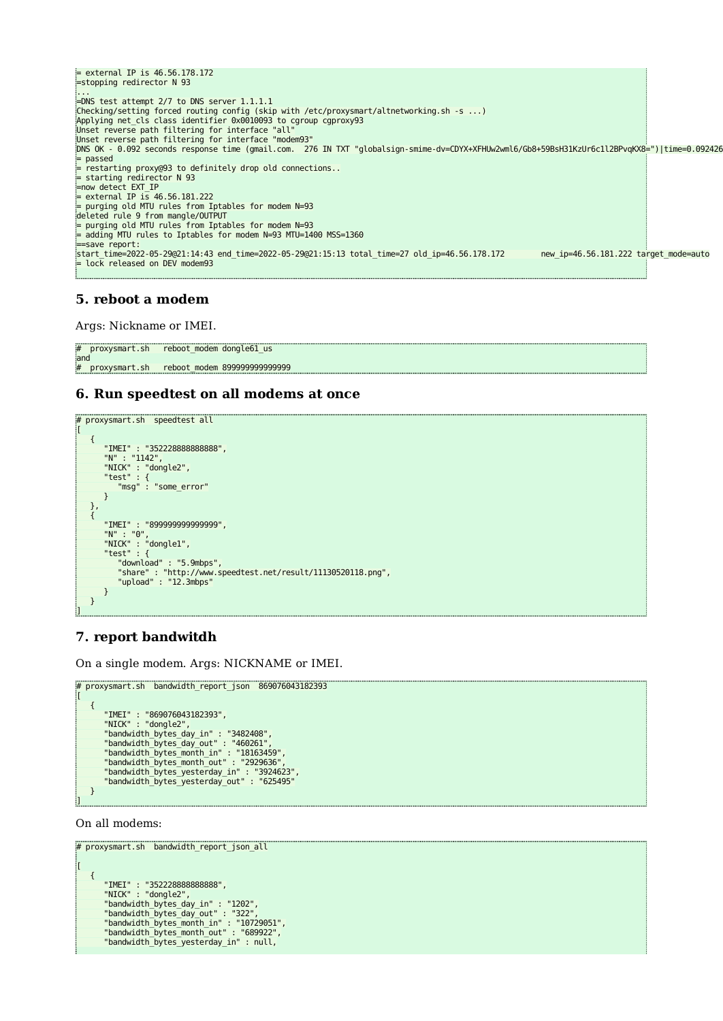$=$  external IP is 46.56.178.172 =stopping redirector N 93 ... =DNS test attempt 2/7 to DNS server 1.1.1.1 Checking/setting forced routing config (skip with /etc/proxysmart/altnetworking.sh -s ...) Applying net\_cls class identifier 0x0010093 to cgroup cgproxy93 Unset reverse path filtering for interface "all" Unset reverse path filtering for interface "modem93" DNS OK - 0.092 seconds response time (gmail.com. 276 IN TXT "globalsign-smime-dv=CDYX+XFHUw2wml6/Gb8+59BsH31KzUr6c1l2BPvqKX8=")|time=0.092426 = passed = restarting proxy@93 to definitely drop old connections.. = starting redirector N 93 =now detect EXT\_IP = external IP is 46.56.181.222 = purging old MTU rules from Iptables for modem N=93 deleted rule 9 from mangle/OUTPUT = purging old MTU rules from Iptables for modem N=93 = adding MTU rules to Iptables for modem N=93 MTU=1400 MSS=1360 =save report: start\_time=2022-05-29@21:14:43 end\_time=2022-05-29@21:15:13 total\_time=27 old\_ip=46.56.178.172 new\_ip=46.56.181.222 target\_mode=auto = lock released on DEV modem93

## **5. reboot a modem**

Args: Nickname or IMEI.

```
# proxysmart.sh reboot_modem dongle61_us
and
# proxysmart.sh reboot_modem 899999999999999
```
## **6. Run speedtest on all modems at once**

```
# proxysmart.sh speedtest all
[
     {
          "IMEI" : "352228888888888",
 "N" : "1142",
 "NICK" : "dongle2",
 "test" : {
 "msg" : "some_error"
          }
 },
 {
"IMEI" : "899999999999999",<br>"N" : "0",<br>"NICK" : "dongle1",<br>"test" : {
 "download" : "5.9mbps",
 "share" : "http://www.speedtest.net/result/11130520118.png",
 "upload" : "12.3mbps"
          }
     }
\overline{\phantom{a}}
```
## **7. report bandwitdh**

On a single modem. Args: NICKNAME or IMEI.

```
# proxysmart.sh bandwidth_report_json 869076043182393
ir
        {
  "IMEI" : "869076043182393",
 "NICK" : "dongle2",
 "bandwidth_bytes_day_in" : "3482408",<br>"bandwidth_bytes_day_out" : "460261",<br>"bandwidth_bytes_month_in" : "18163459",<br>"bandwidth_bytes_month_out" : "2929636",<br>"bandwidth_bytes_yesterday_in" : "3924623",<br>"bandwidth_bytes_yes
       }
]
```
On all modems:

```
# proxysmart.sh bandwidth_report_json_all
\lceil {
 "IMEI" : "352228888888888",
 "NICK" : "dongle2",
"bandwidth_bytes_day_in" : "1202",<br>"bandwidth_bytes_month_in" : "322",<br>"bandwidth_bytes_month_in" : "10729051",<br>"bandwidth_bytes_month_out" : "689922",<br>"bandwidth_bytes_yesterday_in" : null,
```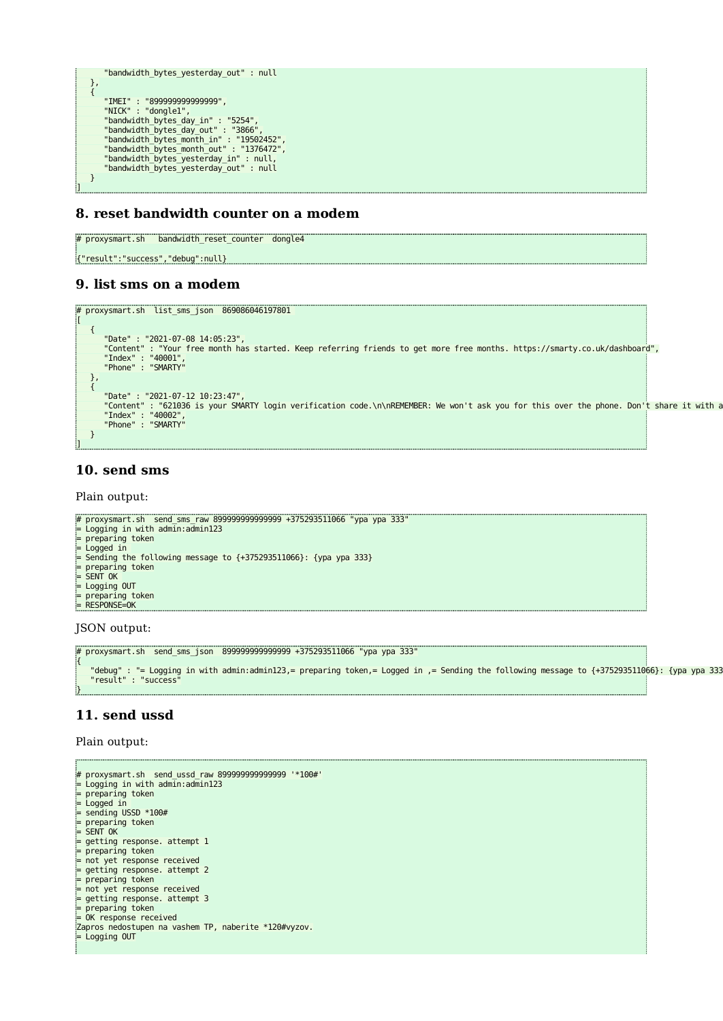```
"bandwidth bytes yesterday out" : null
\begin{matrix} \downarrow \ \downarrow \end{matrix} "IMEI" : "899999999999999",
 "NICK" : "dongle1",
"bandwidth_bytes_day_in" : "5254",<br>"bandwidth_bytes_day_out" : "3866",<br>"bandwidth_bytes_month_in" : "19502452",<br>"bandwidth_bytes_month_out" : "1376472",<br>"bandwidth_bytes_yesterday_in" : null,<br>"bandwidth_bytes_yesterday_in"
        }
]
```
#### **8. reset bandwidth counter on a modem**

# proxysmart.sh bandwidth reset counter dongle4 {"result":"success","debug":null}

#### **9. list sms on a modem**

```
# proxysmart.sh list_sms_json 869086046197801 
[
     {
"Date" : "2021-07-08 14:05:23",<br>"Content" : "Your free month has started. Keep referring friends to get more free months. https://smarty.co.uk/dashboard",<br>"Index" : "40001",<br>"Phone" : "SMARTY"
\begin{matrix} \downarrow \ \downarrow \end{matrix}"Date" : "2021-07-12 10:23:47",<br>"Content" : "621036 is your SMARTY login verification code.\n\nREMEMBER: We won't ask you for this over the phone. Don't share it with a<br>"Index" : "40002",<br>"Phone" : "SMARTY"
     }
]
```
#### **10. send sms**

Plain output:

```
# proxysmart.sh send_sms_raw 899999999999999 +375293511066 "ура ура 333"
= Logging in with admin:admin123
= preparing token
= Logged in 
= Sending the following message to {+375293511066}: {ура ура 333}
= preparing token
= SENT OK 
= Logging OUT
= preparing token
= RESPONSE=OK
```
JSON output:

```
# proxysmart.sh send_sms_json 899999999999999 +375293511066 "ура ура 333"
{
 "debug" : "= Logging in with admin:admin123,= preparing token,= Logged in ,= Sending the following message to {+375293511066}: {ура ура 333
 "result" : "success"
}
```
## **11. send ussd**

Plain output:

```
# proxysmart.sh send_ussd_raw 899999999999999 '*100#'
= Logging in with admin:admin123
= preparing token
= Logged in<br>= sending USSD *100#
= preparing token
= SENT OK
= getting response. attempt 1
= preparing token
= not yet response received
= getting response. attempt 2
= preparing token
= not yet response received
= getting response. attempt 3
= preparing token
= OK response received
Zapros nedostupen na vashem TP, naberite *120#vyzov.
= Logging OUT
```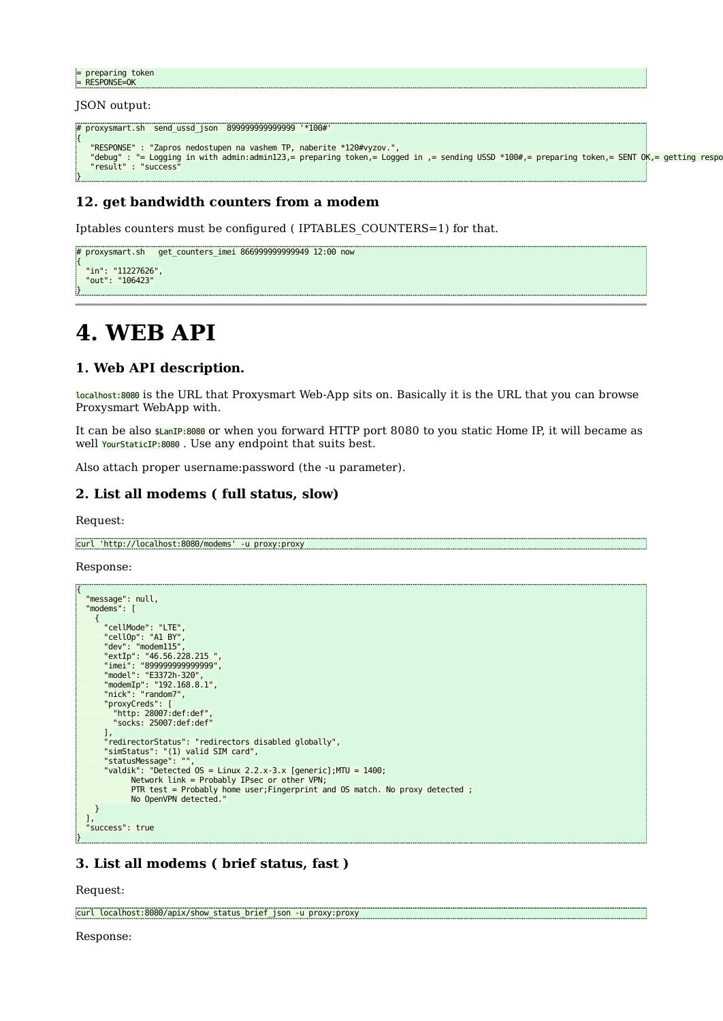```
= preparing token
= RESPONSE=OK
```
JSON output:

```
# proxysmart.sh send_ussd_json 899999999999999 '*100#'
{
    "RESPONSE" : "Zapros nedostupen na vashem TP, naberite *120#vyzov.",
debug" : "= Logging in with admin:admin123,= preparing token,= Logged in ,= sending USSD *100#,= preparing token,= SENT OK,= getting respo"<br>"result" : "success"
}
```
## **12. get bandwidth counters from a modem**

Iptables counters must be configured ( IPTABLES\_COUNTERS=1) for that.

```
# proxysmart.sh get_counters_imei 866999999999949 12:00 now
{
   "in": "11227626",
  "out": "106423"
}
```
## **4. WEB API**

#### **1. Web API description.**

localhost:8080 is the URL that Proxysmart Web-App sits on. Basically it is the URL that you can browse Proxysmart WebApp with.

It can be also \$LanIP:8080 or when you forward HTTP port 8080 to you static Home IP, it will became as well YourStaticIP:8080. Use any endpoint that suits best.

Also attach proper username:password (the -u parameter).

## **2. List all modems ( full status, slow)**

Request:

curl 'http://localhost:8080/modems' -u proxy:proxy

Response:

```
{
    "message": null,
    "modems": [
{<br>
"cellOp": "A1 BY",<br>
"dev": "modem115",<br>
"extIp": "46.56.228.215 ",<br>
"imei": "899999999999999",<br>
"model": "E3372h-320",<br>"modemIp": "192.168.8.1",<br>"nick": "random7",<br>"proxyCreds": [
         "http: 28007:def:def",
            "socks: 25007:def:def"
\qquad \qquad ],
          .,<br>'redirectorStatus": "redirectors disabled globally",
 "simStatus": "(1) valid SIM card",
 "statusMessage": "",
         "valdik": "Detected OS = Linux 2.2.x-3.x [generic];MTU = 1400;
                 Network link = Probably IPsec or other VPN;
                 PTR test = Probably home user; Fingerprint and OS match. No proxy detected ;
                  No OpenVPN detected."
      }
 ],
 "success": true
```
## **3. List all modems ( brief status, fast )**

Request:

}

curl localhost:8080/apix/show\_status\_brief\_json -u proxy:proxy

Response: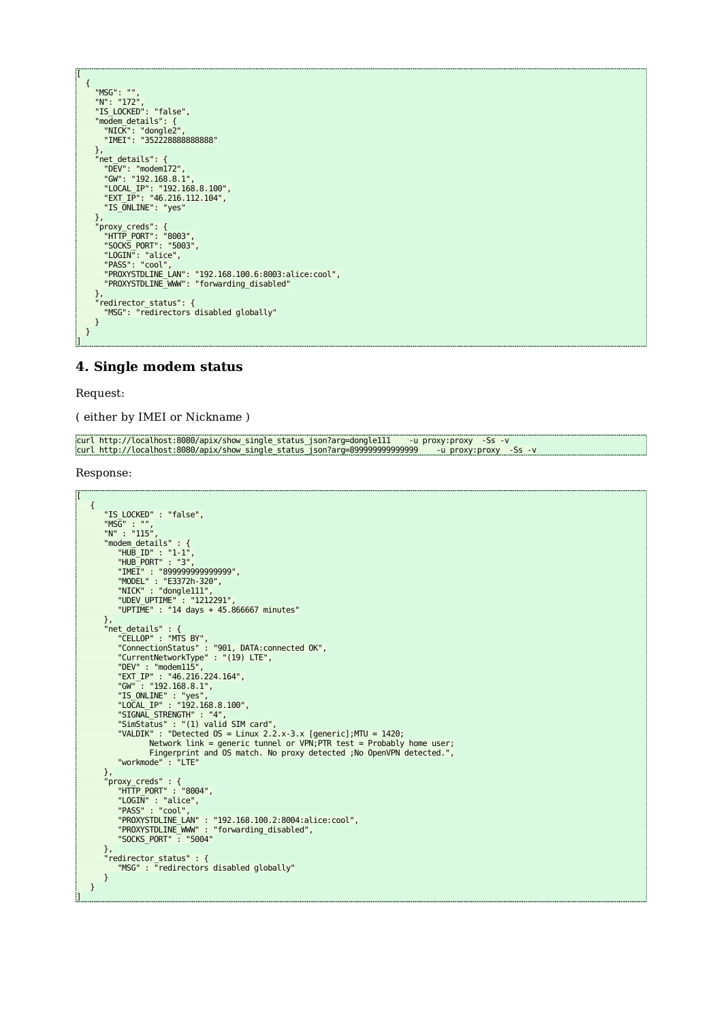| I             |                                                      |
|---------------|------------------------------------------------------|
| €             |                                                      |
|               | "MSG": ""                                            |
|               | "N": "172",                                          |
|               | "IS LOCKED": "false",                                |
|               | "modem details": {                                   |
|               | "NICK": "dongle2",                                   |
|               | "IMEI": "3522288888888888"                           |
|               | },                                                   |
|               | "net details": {                                     |
|               | "DEV": "modem $172$ ",                               |
|               | "GW": "192.168.8.1",                                 |
|               | "LOCAL IP": "192.168.8.100",                         |
|               | "EXT IP": "46.216.112.104",                          |
|               | "IS ONLINE": "yes"                                   |
|               | },                                                   |
|               | "proxy_creds": {                                     |
|               | "HTTP_PORT": "8003",                                 |
|               | "SOCKS PORT": "5003",                                |
|               | "LOGIN": "alice",                                    |
|               | "PASS": "cool",                                      |
|               | "PROXYSTDLINE LAN": "192.168.100.6:8003:alice:cool", |
|               | "PROXYSTDLINE WWW": "forwarding disabled"            |
|               | },                                                   |
|               | "redirector status": {                               |
|               | "MSG": "redirectors disabled globally"               |
|               | }                                                    |
| $\mathcal{F}$ |                                                      |
| 1             |                                                      |
|               |                                                      |

## **4. Single modem status**

Request:

( either by IMEI or Nickname )

```
curl http://localhost:8080/apix/show_single_status_json?arg=dongle111     -u proxy:proxy  -Ss  -v<br>curl http://localhost:8080/apix/show_single_status_json?arg=899999999999999999    -u proxy:proxy  -Ss  -v
```
Response:

```
\overline{1} {
              "IS_LOCKED" : "false",
 "MSG" : "",
 "N" : "115",
 "modem_details" : {
 "HUB_ID" : "1-1",
 "HUB_PORT" : "3",
"IMEI" : "8999999999999999",<br>"MODEL" : "E3372h-320",<br>"NICK" : "dongle111",<br>"UDEV_UPTIME" : "1212291",<br>"UPTIME" : "14 days + 45.866667 minutes"
               },
 "net_details" : {
 "CELLOP" : "MTS BY",
 "ConnectionStatus" : "901, DATA:connected OK",
 "CurrentNetworkType" : "(19) LTE",
"DEV" : "modem115",<br>"EXT_IP" : "46.216.224.164",<br>"GW" : "192.168.8.1",<br>"IS_ONLINE" : "yes",<br>"LOCAL_IP" : "192.168.8.100",<br>"SIGNAL_STRENGTH" : "4",<br>"SIGNAL_STRENGTH" : "4",<br>"SIGNAL_STRENGTH" : "4",<br>"WALDIK" : "Detected OS =
 },
 "proxy_creds" : {
 "HTTP_PORT" : "8004",
 "LOGIN" : "alice",
 "PASS" : "cool",
 "PROXYSTDLINE_LAN" : "192.168.100.2:8004:alice:cool",
 "PROXYSTDLINE_WWW" : "forwarding_disabled",
 "SOCKS_PORT" : "5004"
 },
 "redirector_status" : {
 "MSG" : "redirectors disabled globally"
 }
       }
\overline{\mathbf{I}}
```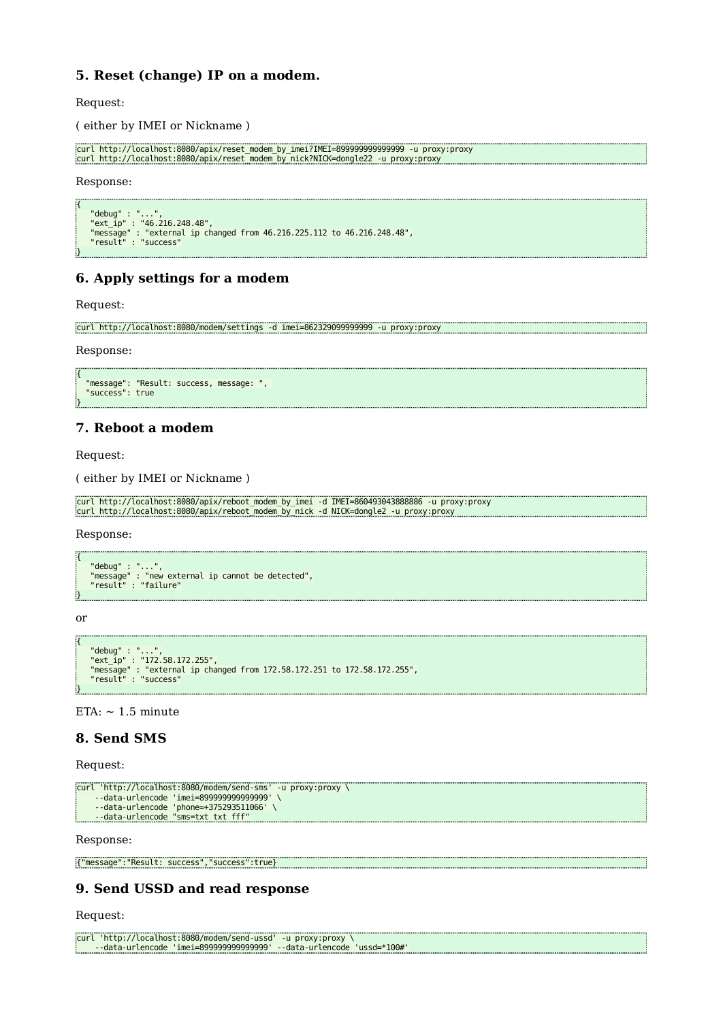## **5. Reset (change) IP on a modem.**

Request:

( either by IMEI or Nickname )

```
curl http://localhost:8080/apix/reset_modem_by_imei?IMEI=899999999999999 -u proxy:proxy
curl http://localhost:8080/apix/reset_modem_by_nick?NICK=dongle22 -u proxy:proxy
```
Response:

```
{
 "debug" : "...",
 "ext_ip" : "46.216.248.48",
 "message" : "external ip changed from 46.216.225.112 to 46.216.248.48",
 "result" : "success"
}
```
## **6. Apply settings for a modem**

Request:

```
curl http://localhost:8080/modem/settings -d imei=862329099999999 -u proxy:proxy
```
Response:

```
{
 "message": "Result: success, message: ", 
 "success": true
}
```
## **7. Reboot a modem**

Request:

( either by IMEI or Nickname )

```
curl http://localhost:8080/apix/reboot_modem_by_imei -d IMEI=860493043888886 -u proxy:proxy
curl http://localhost:8080/apix/reboot_modem_by_nick -d NICK=dongle2 -u proxy:proxy
```
Response:

```
{
 "debug" : "...",
 "message" : "new external ip cannot be detected",
 "result" : "failure"
}
```
or

```
{
     "debug" : "...",
"ext_ip" : "172.58.172.255",<br>"message" : "external ip changed from 172.58.172.251 to 172.58.172.255",<br>"result" : "success"
}
```
 $ETA: ~ 1.5$  minute

#### **8. Send SMS**

Request:

```
curl 'http://localhost:8080/modem/send-sms' -u proxy:proxy \
 --data-urlencode 'imei=899999999999999' \
 --data-urlencode 'phone=+375293511066' \
      --data-urlencode "sms=txt txt fff"
```
Response:

```
{"message":"Result: success","success":true}
```
## **9. Send USSD and read response**

Request:

```
curl 'http://localhost:8080/modem/send-ussd' -u proxy:proxy \
     --data-urlencode 'imei=899999999999999' --data-urlencode 'ussd=*100#'
```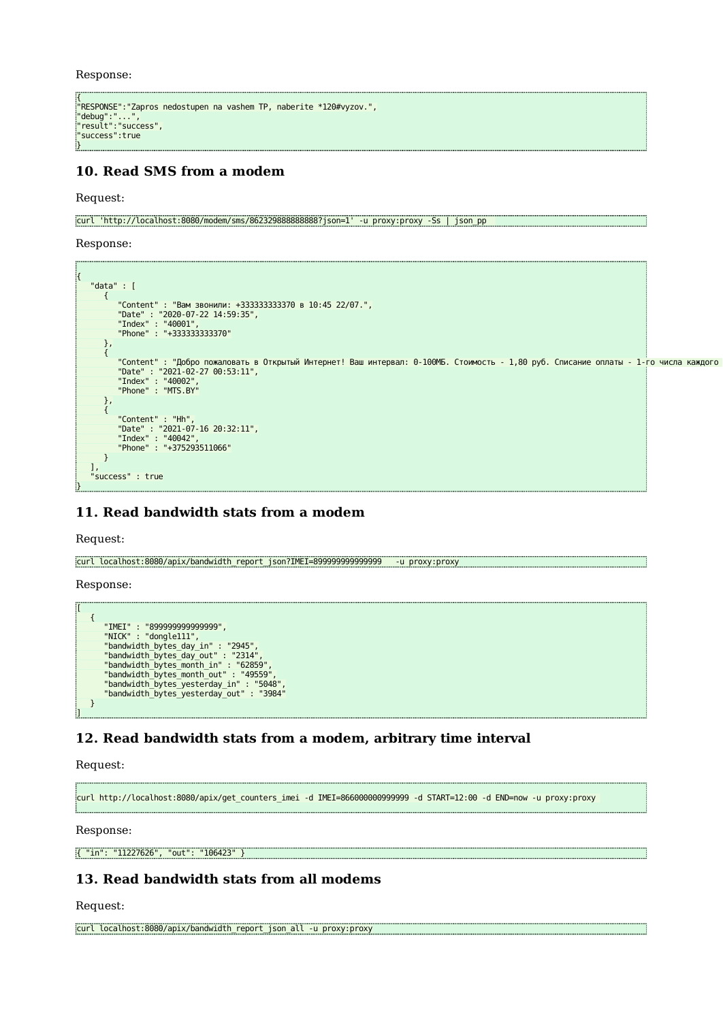Response:

```
{
"RESPONSE":"Zapros nedostupen na vashem TP, naberite *120#vyzov.",
"debug":"...",
"result":"success",
"success":true
}
```
## **10. Read SMS from a modem**

Request:

curl 'http://localhost:8080/modem/sms/862329888888888?json=1' -u proxy:proxy -Ss | json\_pp

Response:



## **11. Read bandwidth stats from a modem**

Request:

curl localhost:8080/apix/bandwidth\_report\_json?IMEI=899999999999999 -u proxy:proxy

Response:

[

```
 {
 "IMEI" : "899999999999999",
 "NICK" : "dongle111",
 "bandwidth_bytes_day_in" : "2945",
 "bandwidth_bytes_day_out" : "2314",
 "bandwidth_bytes_month_in" : "62859",
 "bandwidth_bytes_month_out" : "49559",
 "bandwidth_bytes_yesterday_in" : "5048",
 "bandwidth_bytes_yesterday_out" : "3984"
      }
]
```
## **12. Read bandwidth stats from a modem, arbitrary time interval**

Request:

```
curl http://localhost:8080/apix/get_counters_imei -d IMEI=866000000999999 -d START=12:00 -d END=now -u proxy:proxy
```
Response:

{ "in": "11227626", "out": "106423" }

## **13. Read bandwidth stats from all modems**

Request:

```
curl localhost:8080/apix/bandwidth_report_json_all -u proxy:proxy
```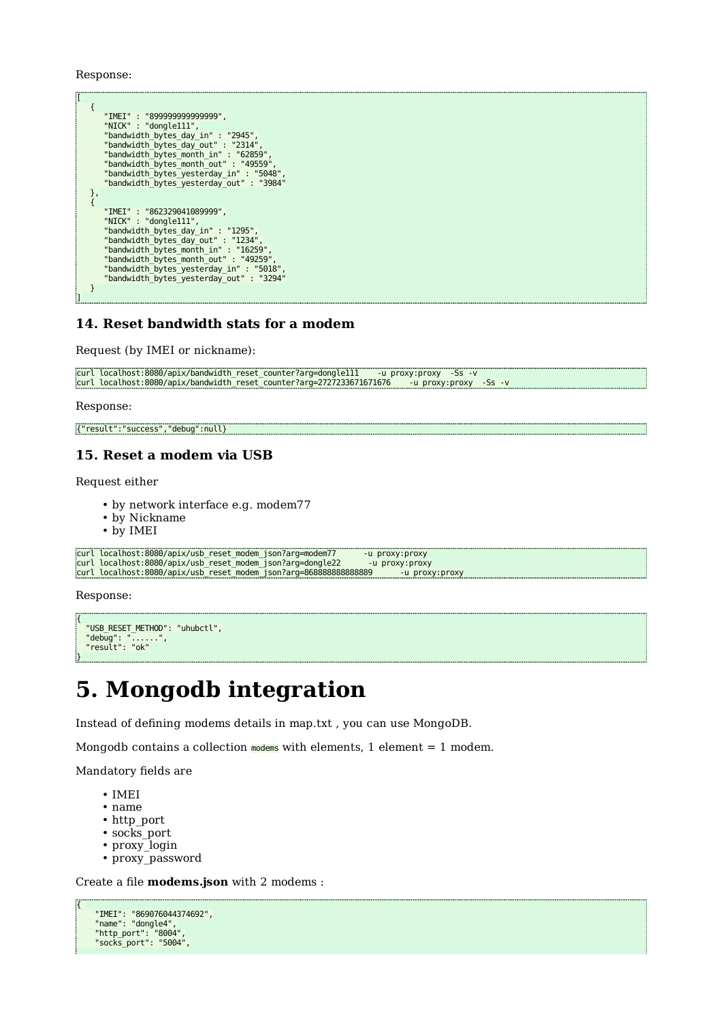Response:

```
[
        {
 "IMEI" : "899999999999999",
 "NICK" : "dongle111",
"bandwidth_bytes_day_in" : "2945",<br>"bandwidth_bytes_day_out" : "2314",<br>"bandwidth_bytes_month_in" : "62859",<br>"bandwidth_bytes_month_out" : "49559",<br>"bandwidth_bytes_yesterday_in" : "5048",
                 "bandwidth_bytes_yesterday_out" : "3984"
        },
        {
 "IMEI" : "862329041089999",
 "NICK" : "dongle111",
"bandwidth_bytes_day_in" : "1295",<br>"bandwidth_bytes_day_out" : "1234",<br>"bandwidth_bytes_month_in" : "16259",<br>"bandwidth_bytes_month_out" : "49259",<br>"bandwidth_bytes_yesterday_in" : "5018",<br>"bandwidth_bytes_yesterday_in" : 
        }
]
```
## **14. Reset bandwidth stats for a modem**

Request (by IMEI or nickname):

```
curl localhost:8080/apix/bandwidth_reset_counter?arg=dongle111 -u proxy:proxy -Ss -v
curl localhost:8080/apix/bandwidth_reset_counter?arg=2727233671671676 -u proxy:proxy -Ss -v
```
Response:

{"result":"success","debug":null}

## **15. Reset a modem via USB**

Request either

- by network interface e.g. modem77
- by Nickname
- by IMEI

```
curl localhost:8080/apix/usb_reset_modem_json?arg=modem77 -u proxy:proxy
curl localhost:8080/apix/usb_reset_modem_json?arg=dongle22 -u proxy:proxy
curl localhost:8080/apix/usb_reset_modem_json?arg=8688888888888889 -u proxy:proxy
```
Response:

```
{
   "USB_RESET_METHOD": "uhubctl",
 "debug": "......",
 "result": "ok"
}
```
## **5. Mongodb integration**

Instead of defining modems details in map.txt , you can use MongoDB.

Mongodb contains a collection modems with elements, 1 element = 1 modem.

Mandatory fields are

- IMEI
- name
- http\_port
- socks port
- proxy login
- proxy password

Create a file **modems.json** with 2 modems :

```
{ 
 "IMEI": "869076044374692",
 "name": "dongle4",
 "http_port": "8004",
 "socks_port": "5004",
```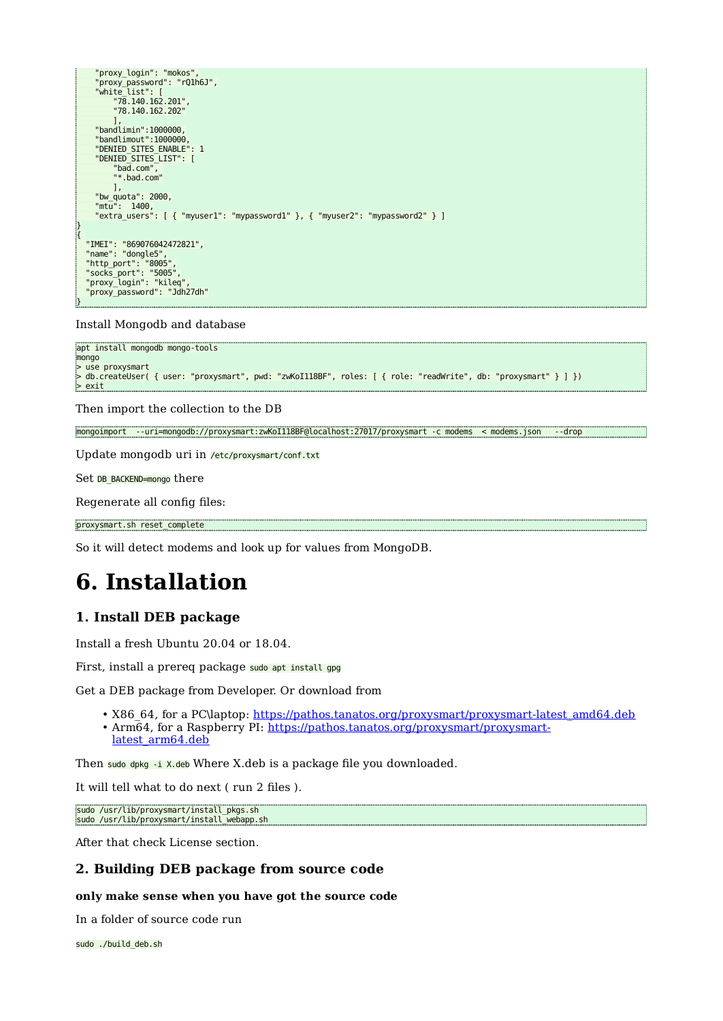```
 "proxy_login": "mokos",
 "proxy_password": "rQ1h6J",
 "white_list": [
           "78.140.162.201",
           "78.140.162.202"
 ],
 "bandlimin":1000000,
     "bandlimout":1000000,
      "DENIED_SITES_ENABLE": 1
     "DENIED_SITES_LIST": [
           "bad.com", 
           "*.bad.com"
           ],
     "bw_quota": 2000,
 "mtu": 1400,
 "extra_users": [ { "myuser1": "mypassword1" }, { "myuser2": "mypassword2" } ]
}
{ 
   "IMEI": "869076042472821",
 "name": "dongle5",
 "http_port": "8005",
 "socks_port": "5005",
 "proxy_login": "kileq",
   "proxy_password": "Jdh27dh"
```
Install Mongodb and database

}

```
apt install mongodb mongo-tools
mongo
> use proxysmart
> db.createUser( { user: "proxysmart", pwd: "zwKoI118BF", roles: [ { role: "readWrite", db: "proxysmart" } ] })
> exit
```
Then import the collection to the DB

```
mongoimport --uri=mongodb://proxysmart:zwKoI118BF@localhost:27017/proxysmart -c modems < modems.json --drop
```
Update mongodb uri in /etc/proxysmart/conf.txt

Set DB\_BACKEND=mongo there

Regenerate all config files:

```
proxysmart.sh reset_complete
```
So it will detect modems and look up for values from MongoDB.

## **6. Installation**

## **1. Install DEB package**

Install a fresh Ubuntu 20.04 or 18.04.

First, install a prereg package sudo apt install gpg

Get a DEB package from Developer. Or download from

- X86\_64, for a PC\laptop: <u>https://pathos.tanatos.org/proxysmart/proxysmart-latest\_amd64.deb</u>
- Arm64, for a Raspberry PI: [https://pathos.tanatos.org/proxysmart/proxysmart-](https://pathos.tanatos.org/proxysmart/proxysmart-latest_arm64.deb)

[latest\\_arm64.deb](https://pathos.tanatos.org/proxysmart/proxysmart-latest_arm64.deb)

Then sudo dpkg -i X.deb Where X.deb is a package file you downloaded.

It will tell what to do next ( run 2 files ).

sudo /usr/lib/proxysmart/install\_pkgs.sh sudo /usr/lib/proxysmart/install\_webapp.sh

After that check License section.

## **2. Building DEB package from source code**

#### **only make sense when you have got the source code**

In a folder of source code run

sudo ./build\_deb.sh